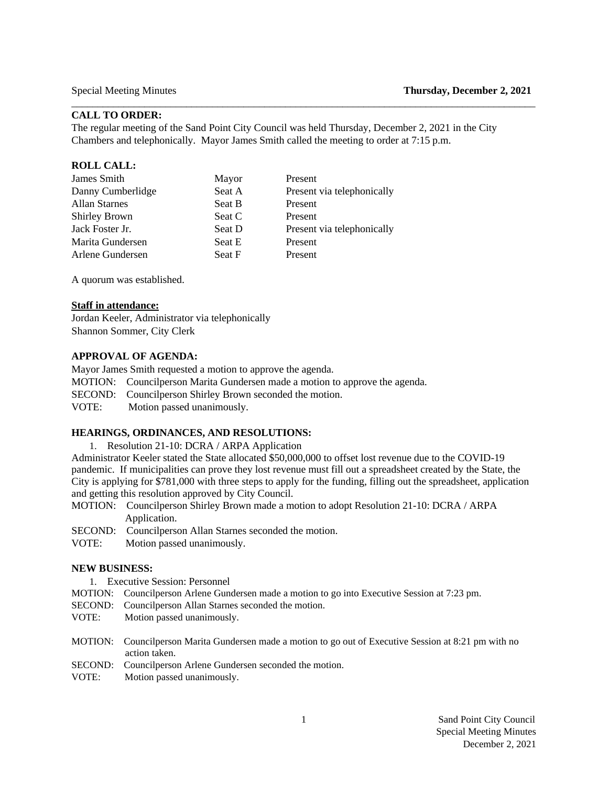# **CALL TO ORDER:**

The regular meeting of the Sand Point City Council was held Thursday, December 2, 2021 in the City Chambers and telephonically. Mayor James Smith called the meeting to order at 7:15 p.m.

 $\Box$ 

#### **ROLL CALL:**

| James Smith          | Mayor         | Present                    |
|----------------------|---------------|----------------------------|
| Danny Cumberlidge    | Seat A        | Present via telephonically |
| <b>Allan Starnes</b> | Seat B        | Present                    |
| <b>Shirley Brown</b> | Seat C        | Present                    |
| Jack Foster Jr.      | Seat D        | Present via telephonically |
| Marita Gundersen     | Seat E        | Present                    |
| Arlene Gundersen     | <b>Seat F</b> | Present                    |
|                      |               |                            |

A quorum was established.

### **Staff in attendance:**

Jordan Keeler, Administrator via telephonically Shannon Sommer, City Clerk

### **APPROVAL OF AGENDA:**

Mayor James Smith requested a motion to approve the agenda. MOTION: Councilperson Marita Gundersen made a motion to approve the agenda.

SECOND: Councilperson Shirley Brown seconded the motion.

VOTE:Motion passed unanimously.

#### **HEARINGS, ORDINANCES, AND RESOLUTIONS:**

1. Resolution 21-10: DCRA / ARPA Application

Administrator Keeler stated the State allocated \$50,000,000 to offset lost revenue due to the COVID-19 pandemic. If municipalities can prove they lost revenue must fill out a spreadsheet created by the State, the City is applying for \$781,000 with three steps to apply for the funding, filling out the spreadsheet, application and getting this resolution approved by City Council.

- MOTION: Councilperson Shirley Brown made a motion to adopt Resolution 21-10: DCRA / ARPA Application.
- SECOND: Councilperson Allan Starnes seconded the motion.

VOTE: Motion passed unanimously.

#### **NEW BUSINESS:**

1. Executive Session: Personnel

- MOTION: Councilperson Arlene Gundersen made a motion to go into Executive Session at 7:23 pm.
- SECOND: Councilperson Allan Starnes seconded the motion.
- VOTE: Motion passed unanimously.
- MOTION: Councilperson Marita Gundersen made a motion to go out of Executive Session at 8:21 pm with no action taken.
- SECOND: Councilperson Arlene Gundersen seconded the motion.
- VOTE: Motion passed unanimously.